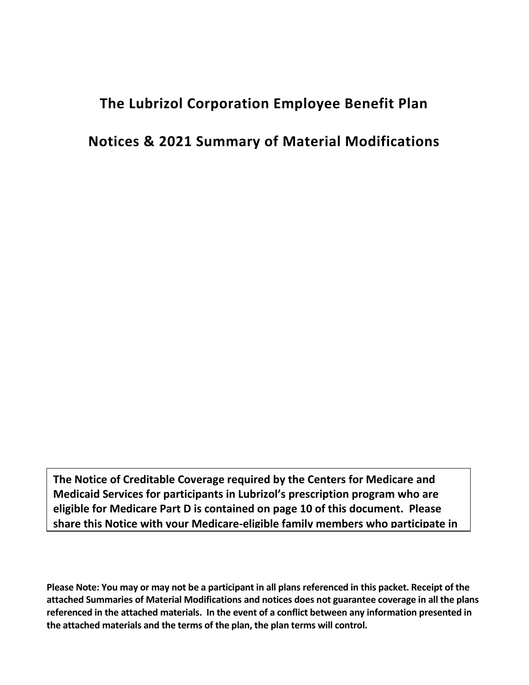# **The Lubrizol Corporation Employee Benefit Plan**

## **Notices & 2021 Summary of Material Modifications**

**The Notice of Creditable Coverage required by the Centers for Medicare and Medicaid Services for participants in Lubrizol's prescription program who are eligible for Medicare Part D is contained on page 10 of this document. Please share this Notice with your Medicare-eligible family members who participate in** 

**Please Note: You may or may not be a participant in all plans referenced in this packet. Receipt of the attached Summaries of Material Modifications and notices does not guarantee coverage in all the plans referenced in the attached materials. In the event of a conflict between any information presented in the attached materials and the terms of the plan, the plan terms will control.**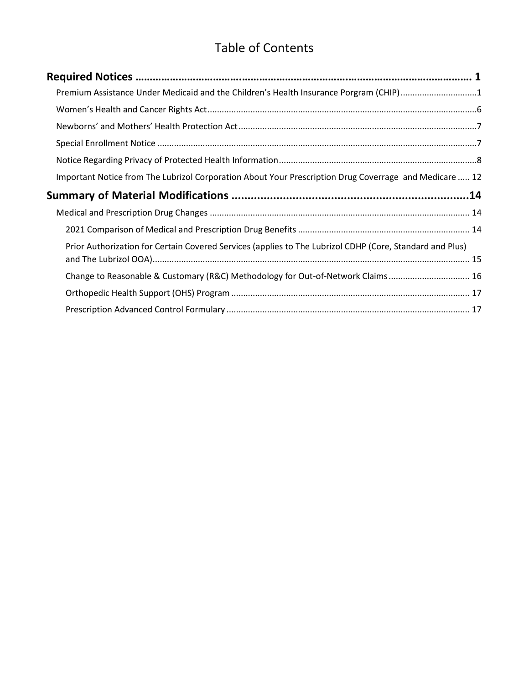# Table of Contents

| Premium Assistance Under Medicaid and the Children's Health Insurance Porgram (CHIP)1                    |  |
|----------------------------------------------------------------------------------------------------------|--|
|                                                                                                          |  |
|                                                                                                          |  |
|                                                                                                          |  |
|                                                                                                          |  |
| Important Notice from The Lubrizol Corporation About Your Prescription Drug Coverrage and Medicare  12   |  |
|                                                                                                          |  |
|                                                                                                          |  |
|                                                                                                          |  |
| Prior Authorization for Certain Covered Services (applies to The Lubrizol CDHP (Core, Standard and Plus) |  |
| Change to Reasonable & Customary (R&C) Methodology for Out-of-Network Claims 16                          |  |
|                                                                                                          |  |
|                                                                                                          |  |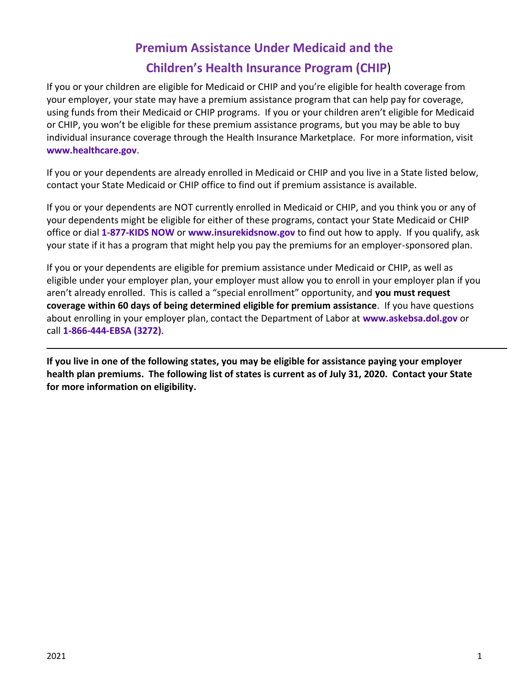# **Premium Assistance Under Medicaid and the Children's Health Insurance Program (CHIP**)

<span id="page-2-0"></span>If you or your children are eligible for Medicaid or CHIP and you're eligible for health coverage from your employer, your state may have a premium assistance program that can help pay for coverage, using funds from their Medicaid or CHIP programs. If you or your children aren't eligible for Medicaid or CHIP, you won't be eligible for these premium assistance programs, but you may be able to buy individual insurance coverage through the Health Insurance Marketplace. For more information, visit **[www.healthcare.gov](http://www.healthcare.gov/)**.

If you or your dependents are already enrolled in Medicaid or CHIP and you live in a State listed below, contact your State Medicaid or CHIP office to find out if premium assistance is available.

If you or your dependents are NOT currently enrolled in Medicaid or CHIP, and you think you or any of your dependents might be eligible for either of these programs, contact your State Medicaid or CHIP office or dial **1-877-KIDS NOW** or **[www.insurekidsnow.gov](http://www.insurekidsnow.gov/)** to find out how to apply. If you qualify, ask your state if it has a program that might help you pay the premiums for an employer-sponsored plan.

If you or your dependents are eligible for premium assistance under Medicaid or CHIP, as well as eligible under your employer plan, your employer must allow you to enroll in your employer plan if you aren't already enrolled. This is called a "special enrollment" opportunity, and **you must request coverage within 60 days of being determined eligible for premium assistance**. If you have questions about enrolling in your employer plan, contact the Department of Labor at **[www.askebsa.dol.gov](http://www.askebsa.dol.gov/)** or call **1-866-444-EBSA (3272)**.

**If you live in one of the following states, you may be eligible for assistance paying your employer health plan premiums. The following list of states is current as of July 31, 2020. Contact your State for more information on eligibility.**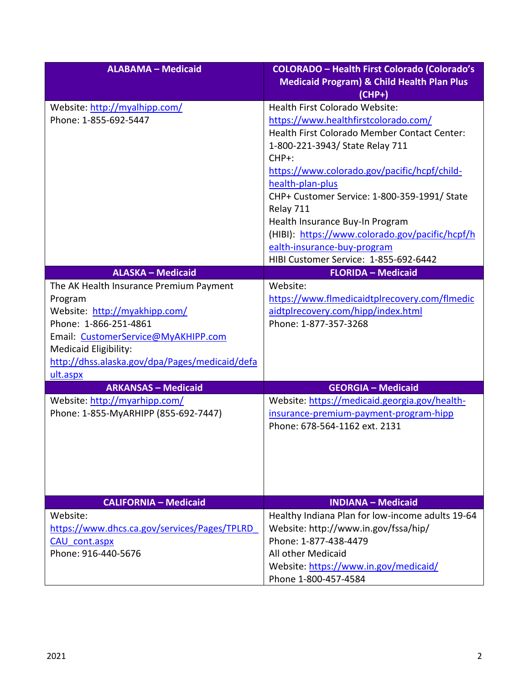| <b>ALABAMA - Medicaid</b>                                                                                                                                                                                                                  | <b>COLORADO - Health First Colorado (Colorado's</b>                                                                                                                                                                                         |
|--------------------------------------------------------------------------------------------------------------------------------------------------------------------------------------------------------------------------------------------|---------------------------------------------------------------------------------------------------------------------------------------------------------------------------------------------------------------------------------------------|
|                                                                                                                                                                                                                                            | <b>Medicaid Program) &amp; Child Health Plan Plus</b><br>$(CHP+)$                                                                                                                                                                           |
| Website: http://myalhipp.com/<br>Phone: 1-855-692-5447                                                                                                                                                                                     | <b>Health First Colorado Website:</b><br>https://www.healthfirstcolorado.com/<br>Health First Colorado Member Contact Center:<br>1-800-221-3943/ State Relay 711<br>$CHP+$ :<br>https://www.colorado.gov/pacific/hcpf/child-                |
|                                                                                                                                                                                                                                            | health-plan-plus<br>CHP+ Customer Service: 1-800-359-1991/ State<br>Relay 711<br>Health Insurance Buy-In Program<br>(HIBI): https://www.colorado.gov/pacific/hcpf/h<br>ealth-insurance-buy-program<br>HIBI Customer Service: 1-855-692-6442 |
| <b>ALASKA - Medicaid</b>                                                                                                                                                                                                                   | <b>FLORIDA - Medicaid</b>                                                                                                                                                                                                                   |
| The AK Health Insurance Premium Payment<br>Program<br>Website: http://myakhipp.com/<br>Phone: 1-866-251-4861<br>Email: CustomerService@MyAKHIPP.com<br>Medicaid Eligibility:<br>http://dhss.alaska.gov/dpa/Pages/medicaid/defa<br>ult.aspx | Website:<br>https://www.flmedicaidtplrecovery.com/flmedic<br>aidtplrecovery.com/hipp/index.html<br>Phone: 1-877-357-3268                                                                                                                    |
| <b>ARKANSAS - Medicaid</b>                                                                                                                                                                                                                 | <b>GEORGIA - Medicaid</b>                                                                                                                                                                                                                   |
| Website: http://myarhipp.com/<br>Phone: 1-855-MyARHIPP (855-692-7447)                                                                                                                                                                      | Website: https://medicaid.georgia.gov/health-<br>insurance-premium-payment-program-hipp<br>Phone: 678-564-1162 ext. 2131                                                                                                                    |
| <b>CALIFORNIA - Medicaid</b>                                                                                                                                                                                                               | <b>INDIANA - Medicaid</b>                                                                                                                                                                                                                   |
| Website:<br>https://www.dhcs.ca.gov/services/Pages/TPLRD<br>CAU cont.aspx<br>Phone: 916-440-5676                                                                                                                                           | Healthy Indiana Plan for low-income adults 19-64<br>Website: http://www.in.gov/fssa/hip/<br>Phone: 1-877-438-4479<br>All other Medicaid<br>Website: https://www.in.gov/medicaid/                                                            |
|                                                                                                                                                                                                                                            | Phone 1-800-457-4584                                                                                                                                                                                                                        |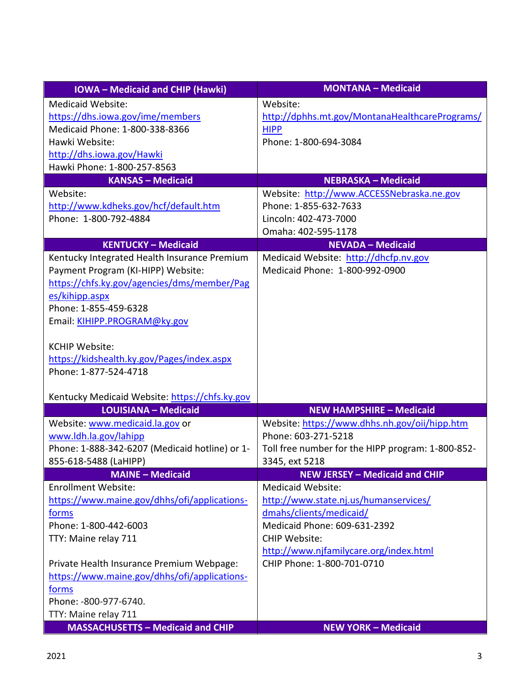| <b>IOWA</b> - Medicaid and CHIP (Hawki)        | <b>MONTANA - Medicaid</b>                         |
|------------------------------------------------|---------------------------------------------------|
| <b>Medicaid Website:</b>                       | Website:                                          |
| https://dhs.iowa.gov/ime/members               | http://dphhs.mt.gov/MontanaHealthcarePrograms/    |
| Medicaid Phone: 1-800-338-8366                 | <b>HIPP</b>                                       |
| Hawki Website:                                 | Phone: 1-800-694-3084                             |
| http://dhs.iowa.gov/Hawki                      |                                                   |
| Hawki Phone: 1-800-257-8563                    |                                                   |
| <b>KANSAS - Medicaid</b>                       | <b>NEBRASKA - Medicaid</b>                        |
| Website:                                       | Website: http://www.ACCESSNebraska.ne.gov         |
| http://www.kdheks.gov/hcf/default.htm          | Phone: 1-855-632-7633                             |
| Phone: 1-800-792-4884                          | Lincoln: 402-473-7000                             |
|                                                | Omaha: 402-595-1178                               |
| <b>KENTUCKY - Medicaid</b>                     | <b>NEVADA - Medicaid</b>                          |
| Kentucky Integrated Health Insurance Premium   | Medicaid Website: http://dhcfp.nv.gov             |
| Payment Program (KI-HIPP) Website:             | Medicaid Phone: 1-800-992-0900                    |
| https://chfs.ky.gov/agencies/dms/member/Pag    |                                                   |
| es/kihipp.aspx                                 |                                                   |
| Phone: 1-855-459-6328                          |                                                   |
| Email: KIHIPP.PROGRAM@ky.gov                   |                                                   |
|                                                |                                                   |
| <b>KCHIP Website:</b>                          |                                                   |
| https://kidshealth.ky.gov/Pages/index.aspx     |                                                   |
| Phone: 1-877-524-4718                          |                                                   |
|                                                |                                                   |
| Kentucky Medicaid Website: https://chfs.ky.gov |                                                   |
| <b>LOUISIANA - Medicaid</b>                    | <b>NEW HAMPSHIRE - Medicaid</b>                   |
| Website: www.medicaid.la.gov or                | Website: https://www.dhhs.nh.gov/oii/hipp.htm     |
| www.ldh.la.gov/lahipp                          | Phone: 603-271-5218                               |
| Phone: 1-888-342-6207 (Medicaid hotline) or 1- | Toll free number for the HIPP program: 1-800-852- |
| 855-618-5488 (LaHIPP)                          | 3345, ext 5218                                    |
| <b>MAINE - Medicaid</b>                        | <b>NEW JERSEY - Medicaid and CHIP</b>             |
| <b>Enrollment Website:</b>                     | Medicaid Website:                                 |
| https://www.maine.gov/dhhs/ofi/applications-   | http://www.state.nj.us/humanservices/             |
| <u>forms</u>                                   | dmahs/clients/medicaid/                           |
| Phone: 1-800-442-6003                          | Medicaid Phone: 609-631-2392                      |
| TTY: Maine relay 711                           | <b>CHIP Website:</b>                              |
|                                                | http://www.njfamilycare.org/index.html            |
| Private Health Insurance Premium Webpage:      | CHIP Phone: 1-800-701-0710                        |
| https://www.maine.gov/dhhs/ofi/applications-   |                                                   |
| forms                                          |                                                   |
| Phone: -800-977-6740.                          |                                                   |
| TTY: Maine relay 711                           |                                                   |
| <b>MASSACHUSETTS - Medicaid and CHIP</b>       | <b>NEW YORK - Medicaid</b>                        |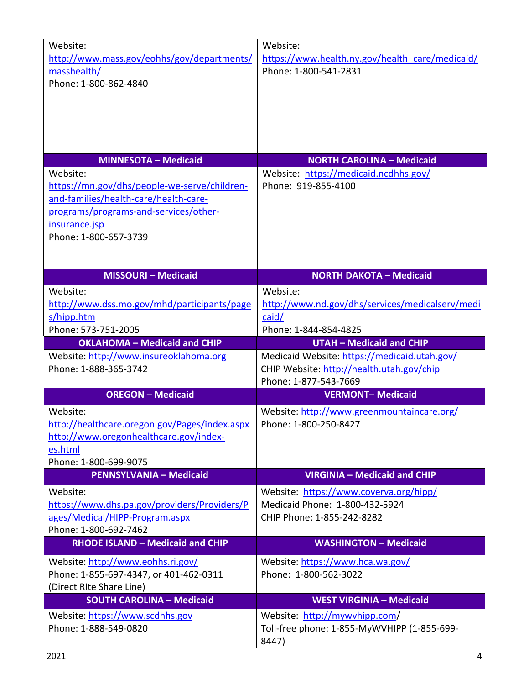| Website:<br>http://www.mass.gov/eohhs/gov/departments/<br>masshealth/<br>Phone: 1-800-862-4840                                                                                       | Website:<br>https://www.health.ny.gov/health care/medicaid/<br>Phone: 1-800-541-2831                   |
|--------------------------------------------------------------------------------------------------------------------------------------------------------------------------------------|--------------------------------------------------------------------------------------------------------|
| <b>MINNESOTA - Medicaid</b>                                                                                                                                                          | <b>NORTH CAROLINA - Medicaid</b>                                                                       |
| Website:<br>https://mn.gov/dhs/people-we-serve/children-<br>and-families/health-care/health-care-<br>programs/programs-and-services/other-<br>insurance.jsp<br>Phone: 1-800-657-3739 | Website: https://medicaid.ncdhhs.gov/<br>Phone: 919-855-4100                                           |
| <b>MISSOURI - Medicaid</b>                                                                                                                                                           | <b>NORTH DAKOTA - Medicaid</b>                                                                         |
| Website:<br>http://www.dss.mo.gov/mhd/participants/page<br>s/hipp.htm<br>Phone: 573-751-2005                                                                                         | Website:<br>http://www.nd.gov/dhs/services/medicalserv/medi<br>caid/<br>Phone: 1-844-854-4825          |
| <b>OKLAHOMA - Medicaid and CHIP</b>                                                                                                                                                  | <b>UTAH - Medicaid and CHIP</b>                                                                        |
| Website: http://www.insureoklahoma.org<br>Phone: 1-888-365-3742                                                                                                                      | Medicaid Website: https://medicaid.utah.gov/<br>CHIP Website: http://health.utah.gov/chip              |
|                                                                                                                                                                                      | Phone: 1-877-543-7669                                                                                  |
| <b>OREGON - Medicaid</b>                                                                                                                                                             | <b>VERMONT-Medicaid</b>                                                                                |
| Website:<br>http://healthcare.oregon.gov/Pages/index.aspx<br>http://www.oregonhealthcare.gov/index-<br>es.html<br>Phone: 1-800-699-9075                                              | Website: http://www.greenmountaincare.org/<br>Phone: 1-800-250-8427                                    |
| <b>PENNSYLVANIA - Medicaid</b>                                                                                                                                                       | <b>VIRGINIA - Medicaid and CHIP</b>                                                                    |
| Website:<br>https://www.dhs.pa.gov/providers/Providers/P<br>ages/Medical/HIPP-Program.aspx<br>Phone: 1-800-692-7462                                                                  | Website: https://www.coverva.org/hipp/<br>Medicaid Phone: 1-800-432-5924<br>CHIP Phone: 1-855-242-8282 |
| <b>RHODE ISLAND - Medicaid and CHIP</b>                                                                                                                                              | <b>WASHINGTON - Medicaid</b>                                                                           |
| Website: http://www.eohhs.ri.gov/<br>Phone: 1-855-697-4347, or 401-462-0311<br>(Direct RIte Share Line)                                                                              | Website: https://www.hca.wa.gov/<br>Phone: 1-800-562-3022                                              |
| <b>SOUTH CAROLINA - Medicaid</b><br>Website: https://www.scdhhs.gov                                                                                                                  | <b>WEST VIRGINIA - Medicaid</b><br>Website: http://mywvhipp.com/                                       |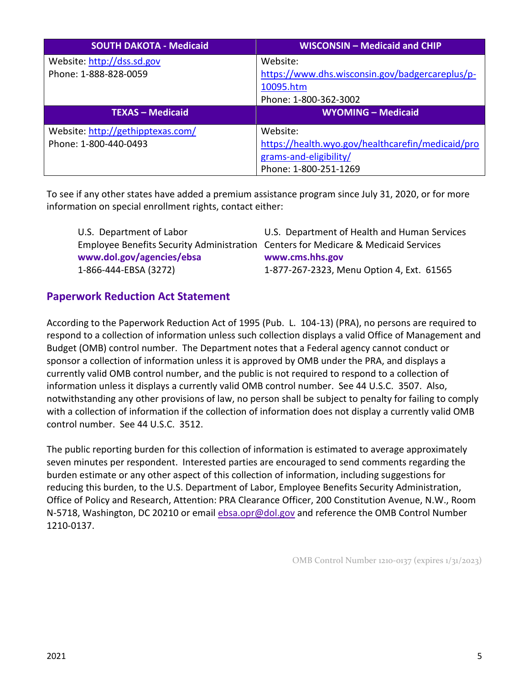| <b>SOUTH DAKOTA - Medicaid</b>                             | <b>WISCONSIN - Medicaid and CHIP</b>                                                                             |
|------------------------------------------------------------|------------------------------------------------------------------------------------------------------------------|
| Website: http://dss.sd.gov<br>Phone: 1-888-828-0059        | Website:<br>https://www.dhs.wisconsin.gov/badgercareplus/p-<br>10095.htm<br>Phone: 1-800-362-3002                |
| <b>TEXAS - Medicaid</b>                                    | <b>WYOMING - Medicaid</b>                                                                                        |
| Website: http://gethipptexas.com/<br>Phone: 1-800-440-0493 | Website:<br>https://health.wyo.gov/healthcarefin/medicaid/pro<br>grams-and-eligibility/<br>Phone: 1-800-251-1269 |

To see if any other states have added a premium assistance program since July 31, 2020, or for more information on special enrollment rights, contact either:

| U.S. Department of Labor                                                           | U.S. Department of Health and Human Services |
|------------------------------------------------------------------------------------|----------------------------------------------|
| Employee Benefits Security Administration Centers for Medicare & Medicaid Services |                                              |
| www.dol.gov/agencies/ebsa                                                          | www.cms.hhs.gov                              |
| 1-866-444-EBSA (3272)                                                              | 1-877-267-2323, Menu Option 4, Ext. 61565    |

#### **Paperwork Reduction Act Statement**

According to the Paperwork Reduction Act of 1995 (Pub. L. 104-13) (PRA), no persons are required to respond to a collection of information unless such collection displays a valid Office of Management and Budget (OMB) control number. The Department notes that a Federal agency cannot conduct or sponsor a collection of information unless it is approved by OMB under the PRA, and displays a currently valid OMB control number, and the public is not required to respond to a collection of information unless it displays a currently valid OMB control number. See 44 U.S.C. 3507. Also, notwithstanding any other provisions of law, no person shall be subject to penalty for failing to comply with a collection of information if the collection of information does not display a currently valid OMB control number. See 44 U.S.C. 3512.

The public reporting burden for this collection of information is estimated to average approximately seven minutes per respondent. Interested parties are encouraged to send comments regarding the burden estimate or any other aspect of this collection of information, including suggestions for reducing this burden, to the U.S. Department of Labor, Employee Benefits Security Administration, Office of Policy and Research, Attention: PRA Clearance Officer, 200 Constitution Avenue, N.W., Room N-5718, Washington, DC 20210 or email [ebsa.opr@dol.gov](mailto:ebsa.opr@dol.gov) and reference the OMB Control Number 1210-0137.

OMB Control Number 1210-0137 (expires 1/31/2023)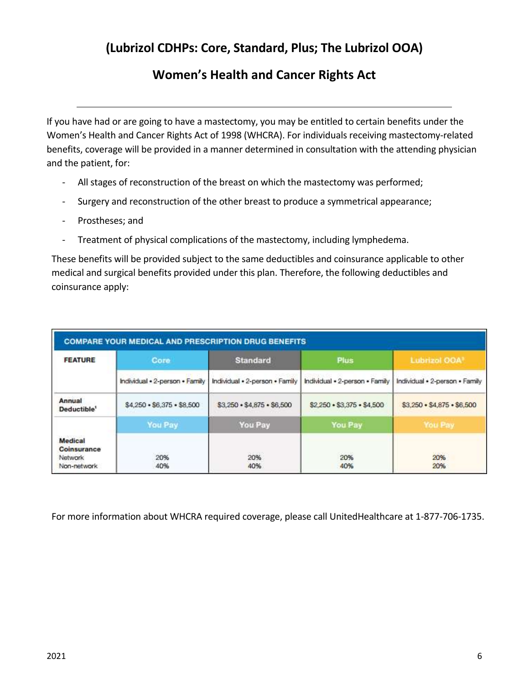## **(Lubrizol CDHPs: Core, Standard, Plus; The Lubrizol OOA)**

## **Women's Health and Cancer Rights Act**

<span id="page-7-0"></span>If you have had or are going to have a mastectomy, you may be entitled to certain benefits under the Women's Health and Cancer Rights Act of 1998 (WHCRA). For individuals receiving mastectomy-related benefits, coverage will be provided in a manner determined in consultation with the attending physician and the patient, for:

- All stages of reconstruction of the breast on which the mastectomy was performed;
- Surgery and reconstruction of the other breast to produce a symmetrical appearance;
- Prostheses; and
- Treatment of physical complications of the mastectomy, including lymphedema.

These benefits will be provided subject to the same deductibles and coinsurance applicable to other medical and surgical benefits provided under this plan. Therefore, the following deductibles and coinsurance apply:

| <b>FEATURE</b>                                   | Core                               | <b>Standard</b>                | Plus                               | Lubrizol OOA!                      |
|--------------------------------------------------|------------------------------------|--------------------------------|------------------------------------|------------------------------------|
|                                                  | Individual . 2-person . Family     | Individual . 2-person . Family | Individual . 2-person . Family     | Individual . 2-person . Family     |
| Annual<br>Deductible'                            | $$4,250 \cdot $6,375 \cdot $8,500$ | \$3,250 + \$4,875 + \$6,500    | $$2,250 \cdot $3,375 \cdot $4,500$ | $$3.250 \cdot $4.875 \cdot $6.500$ |
|                                                  | <b>You Pay</b>                     | You Pay                        | You Pay                            | You Pay                            |
| Medical<br>Coinsurance<br>Network<br>Non-network | 20%<br>40%                         | <b>SOUTHERN</b><br>20%<br>40%  | 20%<br>40%                         | 1,400,000<br>20%<br>20%            |

For more information about WHCRA required coverage, please call UnitedHealthcare at 1-877-706-1735.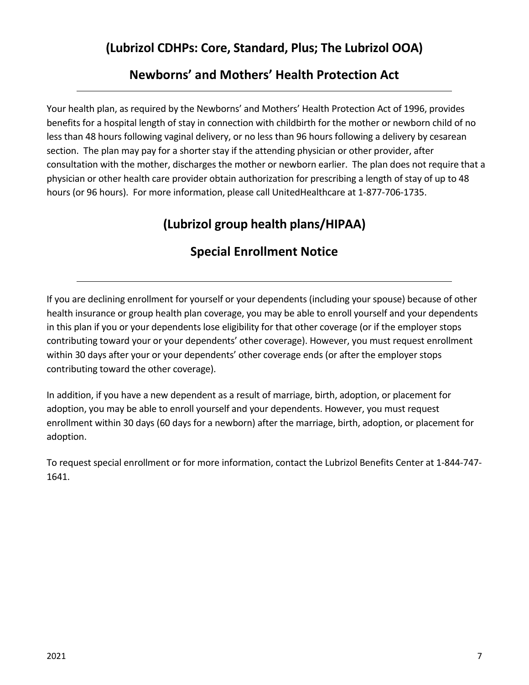## **(Lubrizol CDHPs: Core, Standard, Plus; The Lubrizol OOA)**

## **Newborns' and Mothers' Health Protection Act**

<span id="page-8-0"></span>Your health plan, as required by the Newborns' and Mothers' Health Protection Act of 1996, provides benefits for a hospital length of stay in connection with childbirth for the mother or newborn child of no less than 48 hours following vaginal delivery, or no less than 96 hours following a delivery by cesarean section. The plan may pay for a shorter stay if the attending physician or other provider, after consultation with the mother, discharges the mother or newborn earlier. The plan does not require that a physician or other health care provider obtain authorization for prescribing a length of stay of up to 48 hours (or 96 hours). For more information, please call UnitedHealthcare at 1-877-706-1735.

# **(Lubrizol group health plans/HIPAA)**

# **Special Enrollment Notice**

<span id="page-8-1"></span>If you are declining enrollment for yourself or your dependents (including your spouse) because of other health insurance or group health plan coverage, you may be able to enroll yourself and your dependents in this plan if you or your dependents lose eligibility for that other coverage (or if the employer stops contributing toward your or your dependents' other coverage). However, you must request enrollment within 30 days after your or your dependents' other coverage ends (or after the employer stops contributing toward the other coverage).

In addition, if you have a new dependent as a result of marriage, birth, adoption, or placement for adoption, you may be able to enroll yourself and your dependents. However, you must request enrollment within 30 days (60 days for a newborn) after the marriage, birth, adoption, or placement for adoption.

To request special enrollment or for more information, contact the Lubrizol Benefits Center at 1-844-747- 1641.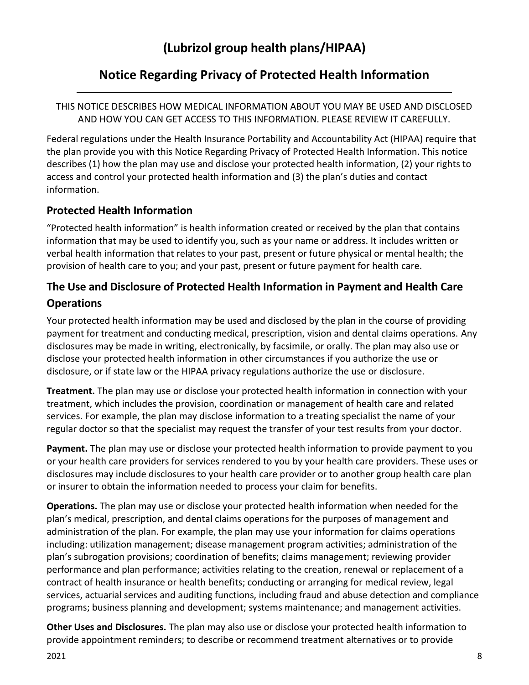## **Notice Regarding Privacy of Protected Health Information**

#### <span id="page-9-0"></span>THIS NOTICE DESCRIBES HOW MEDICAL INFORMATION ABOUT YOU MAY BE USED AND DISCLOSED AND HOW YOU CAN GET ACCESS TO THIS INFORMATION. PLEASE REVIEW IT CAREFULLY.

Federal regulations under the Health Insurance Portability and Accountability Act (HIPAA) require that the plan provide you with this Notice Regarding Privacy of Protected Health Information. This notice describes (1) how the plan may use and disclose your protected health information, (2) your rights to access and control your protected health information and (3) the plan's duties and contact information.

### **Protected Health Information**

"Protected health information" is health information created or received by the plan that contains information that may be used to identify you, such as your name or address. It includes written or verbal health information that relates to your past, present or future physical or mental health; the provision of health care to you; and your past, present or future payment for health care.

## **The Use and Disclosure of Protected Health Information in Payment and Health Care Operations**

Your protected health information may be used and disclosed by the plan in the course of providing payment for treatment and conducting medical, prescription, vision and dental claims operations. Any disclosures may be made in writing, electronically, by facsimile, or orally. The plan may also use or disclose your protected health information in other circumstances if you authorize the use or disclosure, or if state law or the HIPAA privacy regulations authorize the use or disclosure.

**Treatment.** The plan may use or disclose your protected health information in connection with your treatment, which includes the provision, coordination or management of health care and related services. For example, the plan may disclose information to a treating specialist the name of your regular doctor so that the specialist may request the transfer of your test results from your doctor.

**Payment.** The plan may use or disclose your protected health information to provide payment to you or your health care providers for services rendered to you by your health care providers. These uses or disclosures may include disclosures to your health care provider or to another group health care plan or insurer to obtain the information needed to process your claim for benefits.

**Operations.** The plan may use or disclose your protected health information when needed for the plan's medical, prescription, and dental claims operations for the purposes of management and administration of the plan. For example, the plan may use your information for claims operations including: utilization management; disease management program activities; administration of the plan's subrogation provisions; coordination of benefits; claims management; reviewing provider performance and plan performance; activities relating to the creation, renewal or replacement of a contract of health insurance or health benefits; conducting or arranging for medical review, legal services, actuarial services and auditing functions, including fraud and abuse detection and compliance programs; business planning and development; systems maintenance; and management activities.

**Other Uses and Disclosures.** The plan may also use or disclose your protected health information to provide appointment reminders; to describe or recommend treatment alternatives or to provide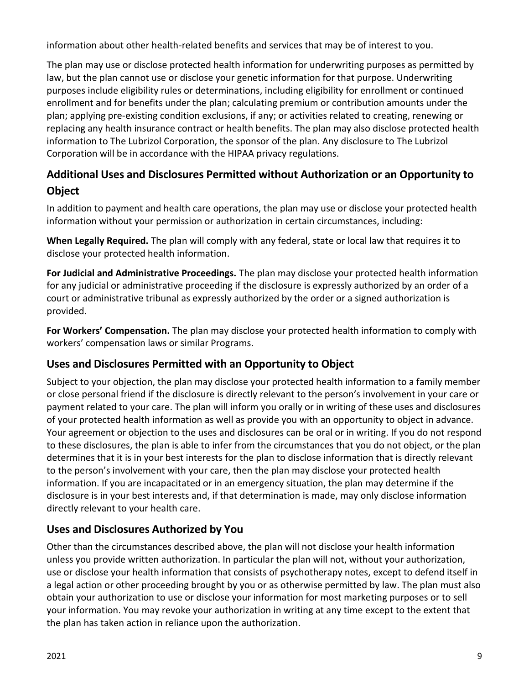information about other health-related benefits and services that may be of interest to you.

The plan may use or disclose protected health information for underwriting purposes as permitted by law, but the plan cannot use or disclose your genetic information for that purpose. Underwriting purposes include eligibility rules or determinations, including eligibility for enrollment or continued enrollment and for benefits under the plan; calculating premium or contribution amounts under the plan; applying pre-existing condition exclusions, if any; or activities related to creating, renewing or replacing any health insurance contract or health benefits. The plan may also disclose protected health information to The Lubrizol Corporation, the sponsor of the plan. Any disclosure to The Lubrizol Corporation will be in accordance with the HIPAA privacy regulations.

## **Additional Uses and Disclosures Permitted without Authorization or an Opportunity to Object**

In addition to payment and health care operations, the plan may use or disclose your protected health information without your permission or authorization in certain circumstances, including:

**When Legally Required.** The plan will comply with any federal, state or local law that requires it to disclose your protected health information.

**For Judicial and Administrative Proceedings.** The plan may disclose your protected health information for any judicial or administrative proceeding if the disclosure is expressly authorized by an order of a court or administrative tribunal as expressly authorized by the order or a signed authorization is provided.

**For Workers' Compensation.** The plan may disclose your protected health information to comply with workers' compensation laws or similar Programs.

### **Uses and Disclosures Permitted with an Opportunity to Object**

Subject to your objection, the plan may disclose your protected health information to a family member or close personal friend if the disclosure is directly relevant to the person's involvement in your care or payment related to your care. The plan will inform you orally or in writing of these uses and disclosures of your protected health information as well as provide you with an opportunity to object in advance. Your agreement or objection to the uses and disclosures can be oral or in writing. If you do not respond to these disclosures, the plan is able to infer from the circumstances that you do not object, or the plan determines that it is in your best interests for the plan to disclose information that is directly relevant to the person's involvement with your care, then the plan may disclose your protected health information. If you are incapacitated or in an emergency situation, the plan may determine if the disclosure is in your best interests and, if that determination is made, may only disclose information directly relevant to your health care.

### **Uses and Disclosures Authorized by You**

Other than the circumstances described above, the plan will not disclose your health information unless you provide written authorization. In particular the plan will not, without your authorization, use or disclose your health information that consists of psychotherapy notes, except to defend itself in a legal action or other proceeding brought by you or as otherwise permitted by law. The plan must also obtain your authorization to use or disclose your information for most marketing purposes or to sell your information. You may revoke your authorization in writing at any time except to the extent that the plan has taken action in reliance upon the authorization.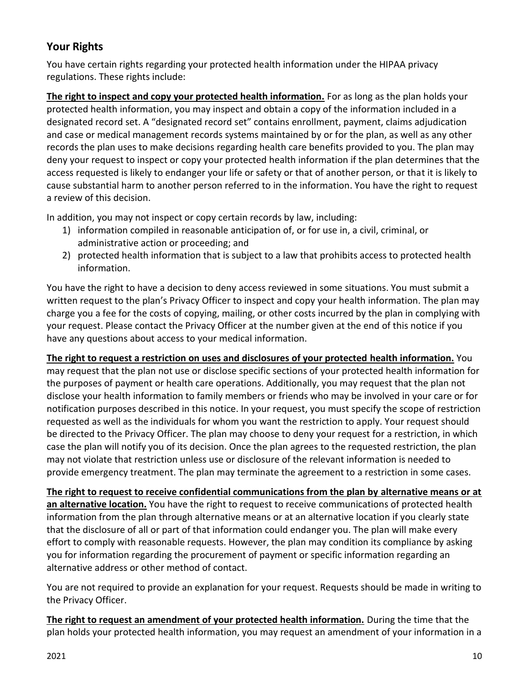## **Your Rights**

You have certain rights regarding your protected health information under the HIPAA privacy regulations. These rights include:

**The right to inspect and copy your protected health information.** For as long as the plan holds your protected health information, you may inspect and obtain a copy of the information included in a designated record set. A "designated record set" contains enrollment, payment, claims adjudication and case or medical management records systems maintained by or for the plan, as well as any other records the plan uses to make decisions regarding health care benefits provided to you. The plan may deny your request to inspect or copy your protected health information if the plan determines that the access requested is likely to endanger your life or safety or that of another person, or that it is likely to cause substantial harm to another person referred to in the information. You have the right to request a review of this decision.

In addition, you may not inspect or copy certain records by law, including:

- 1) information compiled in reasonable anticipation of, or for use in, a civil, criminal, or administrative action or proceeding; and
- 2) protected health information that is subject to a law that prohibits access to protected health information.

You have the right to have a decision to deny access reviewed in some situations. You must submit a written request to the plan's Privacy Officer to inspect and copy your health information. The plan may charge you a fee for the costs of copying, mailing, or other costs incurred by the plan in complying with your request. Please contact the Privacy Officer at the number given at the end of this notice if you have any questions about access to your medical information.

**The right to request a restriction on uses and disclosures of your protected health information.** You may request that the plan not use or disclose specific sections of your protected health information for the purposes of payment or health care operations. Additionally, you may request that the plan not disclose your health information to family members or friends who may be involved in your care or for notification purposes described in this notice. In your request, you must specify the scope of restriction requested as well as the individuals for whom you want the restriction to apply. Your request should be directed to the Privacy Officer. The plan may choose to deny your request for a restriction, in which case the plan will notify you of its decision. Once the plan agrees to the requested restriction, the plan may not violate that restriction unless use or disclosure of the relevant information is needed to provide emergency treatment. The plan may terminate the agreement to a restriction in some cases.

**The right to request to receive confidential communications from the plan by alternative means or at an alternative location.** You have the right to request to receive communications of protected health information from the plan through alternative means or at an alternative location if you clearly state that the disclosure of all or part of that information could endanger you. The plan will make every effort to comply with reasonable requests. However, the plan may condition its compliance by asking you for information regarding the procurement of payment or specific information regarding an alternative address or other method of contact.

You are not required to provide an explanation for your request. Requests should be made in writing to the Privacy Officer.

**The right to request an amendment of your protected health information.** During the time that the plan holds your protected health information, you may request an amendment of your information in a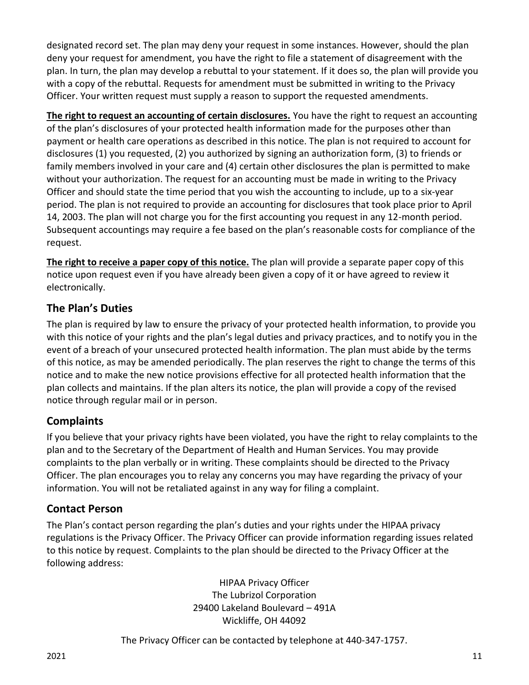designated record set. The plan may deny your request in some instances. However, should the plan deny your request for amendment, you have the right to file a statement of disagreement with the plan. In turn, the plan may develop a rebuttal to your statement. If it does so, the plan will provide you with a copy of the rebuttal. Requests for amendment must be submitted in writing to the Privacy Officer. Your written request must supply a reason to support the requested amendments.

**The right to request an accounting of certain disclosures.** You have the right to request an accounting of the plan's disclosures of your protected health information made for the purposes other than payment or health care operations as described in this notice. The plan is not required to account for disclosures (1) you requested, (2) you authorized by signing an authorization form, (3) to friends or family members involved in your care and (4) certain other disclosures the plan is permitted to make without your authorization. The request for an accounting must be made in writing to the Privacy Officer and should state the time period that you wish the accounting to include, up to a six-year period. The plan is not required to provide an accounting for disclosures that took place prior to April 14, 2003. The plan will not charge you for the first accounting you request in any 12-month period. Subsequent accountings may require a fee based on the plan's reasonable costs for compliance of the request.

**The right to receive a paper copy of this notice.** The plan will provide a separate paper copy of this notice upon request even if you have already been given a copy of it or have agreed to review it electronically.

### **The Plan's Duties**

The plan is required by law to ensure the privacy of your protected health information, to provide you with this notice of your rights and the plan's legal duties and privacy practices, and to notify you in the event of a breach of your unsecured protected health information. The plan must abide by the terms of this notice, as may be amended periodically. The plan reserves the right to change the terms of this notice and to make the new notice provisions effective for all protected health information that the plan collects and maintains. If the plan alters its notice, the plan will provide a copy of the revised notice through regular mail or in person.

### **Complaints**

If you believe that your privacy rights have been violated, you have the right to relay complaints to the plan and to the Secretary of the Department of Health and Human Services. You may provide complaints to the plan verbally or in writing. These complaints should be directed to the Privacy Officer. The plan encourages you to relay any concerns you may have regarding the privacy of your information. You will not be retaliated against in any way for filing a complaint.

#### **Contact Person**

The Plan's contact person regarding the plan's duties and your rights under the HIPAA privacy regulations is the Privacy Officer. The Privacy Officer can provide information regarding issues related to this notice by request. Complaints to the plan should be directed to the Privacy Officer at the following address:

> HIPAA Privacy Officer The Lubrizol Corporation 29400 Lakeland Boulevard – 491A Wickliffe, OH 44092

The Privacy Officer can be contacted by telephone at 440-347-1757.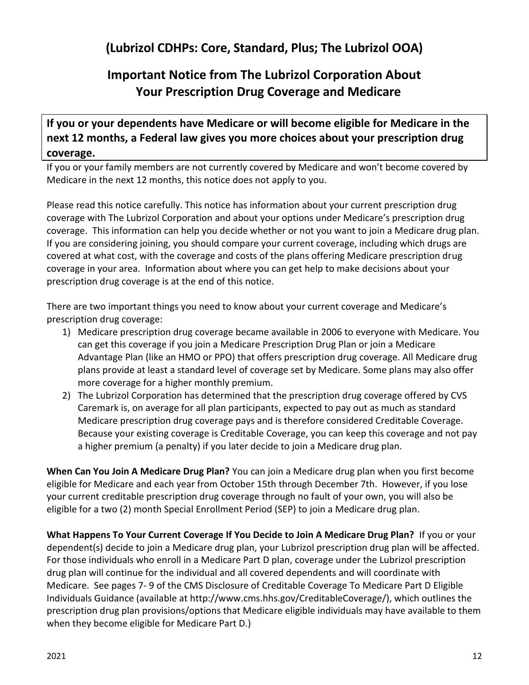## **(Lubrizol CDHPs: Core, Standard, Plus; The Lubrizol OOA)**

# **Important Notice from The Lubrizol Corporation About Your Prescription Drug Coverage and Medicare**

<span id="page-13-0"></span>**If you or your dependents have Medicare or will become eligible for Medicare in the next 12 months, a Federal law gives you more choices about your prescription drug coverage.**

If you or your family members are not currently covered by Medicare and won't become covered by Medicare in the next 12 months, this notice does not apply to you.

Please read this notice carefully. This notice has information about your current prescription drug coverage with The Lubrizol Corporation and about your options under Medicare's prescription drug coverage. This information can help you decide whether or not you want to join a Medicare drug plan. If you are considering joining, you should compare your current coverage, including which drugs are covered at what cost, with the coverage and costs of the plans offering Medicare prescription drug coverage in your area. Information about where you can get help to make decisions about your prescription drug coverage is at the end of this notice.

There are two important things you need to know about your current coverage and Medicare's prescription drug coverage:

- 1) Medicare prescription drug coverage became available in 2006 to everyone with Medicare. You can get this coverage if you join a Medicare Prescription Drug Plan or join a Medicare Advantage Plan (like an HMO or PPO) that offers prescription drug coverage. All Medicare drug plans provide at least a standard level of coverage set by Medicare. Some plans may also offer more coverage for a higher monthly premium.
- 2) The Lubrizol Corporation has determined that the prescription drug coverage offered by CVS Caremark is, on average for all plan participants, expected to pay out as much as standard Medicare prescription drug coverage pays and is therefore considered Creditable Coverage. Because your existing coverage is Creditable Coverage, you can keep this coverage and not pay a higher premium (a penalty) if you later decide to join a Medicare drug plan.

**When Can You Join A Medicare Drug Plan?** You can join a Medicare drug plan when you first become eligible for Medicare and each year from October 15th through December 7th. However, if you lose your current creditable prescription drug coverage through no fault of your own, you will also be eligible for a two (2) month Special Enrollment Period (SEP) to join a Medicare drug plan.

**What Happens To Your Current Coverage If You Decide to Join A Medicare Drug Plan?** If you or your dependent(s) decide to join a Medicare drug plan, your Lubrizol prescription drug plan will be affected. For those individuals who enroll in a Medicare Part D plan, coverage under the Lubrizol prescription drug plan will continue for the individual and all covered dependents and will coordinate with Medicare. See pages 7- 9 of the CMS Disclosure of Creditable Coverage To Medicare Part D Eligible Individuals Guidance (available at http://www.cms.hhs.gov/CreditableCoverage/), which outlines the prescription drug plan provisions/options that Medicare eligible individuals may have available to them when they become eligible for Medicare Part D.)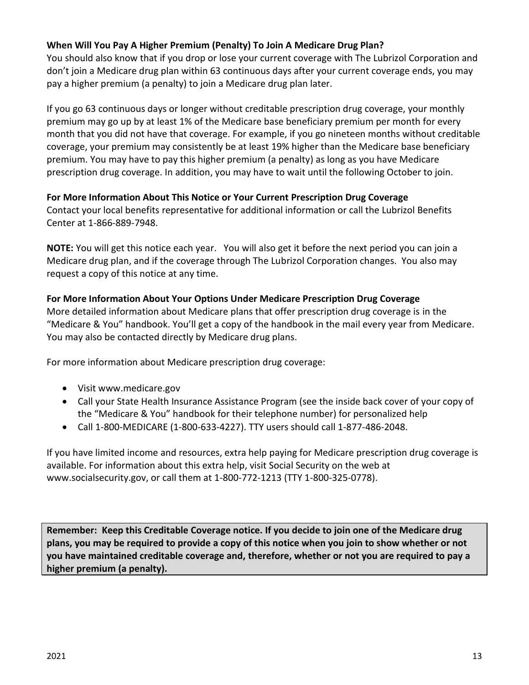#### **When Will You Pay A Higher Premium (Penalty) To Join A Medicare Drug Plan?**

You should also know that if you drop or lose your current coverage with The Lubrizol Corporation and don't join a Medicare drug plan within 63 continuous days after your current coverage ends, you may pay a higher premium (a penalty) to join a Medicare drug plan later.

If you go 63 continuous days or longer without creditable prescription drug coverage, your monthly premium may go up by at least 1% of the Medicare base beneficiary premium per month for every month that you did not have that coverage. For example, if you go nineteen months without creditable coverage, your premium may consistently be at least 19% higher than the Medicare base beneficiary premium. You may have to pay this higher premium (a penalty) as long as you have Medicare prescription drug coverage. In addition, you may have to wait until the following October to join.

#### **For More Information About This Notice or Your Current Prescription Drug Coverage**

Contact your local benefits representative for additional information or call the Lubrizol Benefits Center at 1-866-889-7948.

**NOTE:** You will get this notice each year. You will also get it before the next period you can join a Medicare drug plan, and if the coverage through The Lubrizol Corporation changes. You also may request a copy of this notice at any time.

#### **For More Information About Your Options Under Medicare Prescription Drug Coverage**

More detailed information about Medicare plans that offer prescription drug coverage is in the "Medicare & You" handbook. You'll get a copy of the handbook in the mail every year from Medicare. You may also be contacted directly by Medicare drug plans.

For more information about Medicare prescription drug coverage:

- Visit www.medicare.gov
- Call your State Health Insurance Assistance Program (see the inside back cover of your copy of the "Medicare & You" handbook for their telephone number) for personalized help
- Call 1-800-MEDICARE (1-800-633-4227). TTY users should call 1-877-486-2048.

If you have limited income and resources, extra help paying for Medicare prescription drug coverage is available. For information about this extra help, visit Social Security on the web at www.socialsecurity.gov, or call them at 1-800-772-1213 (TTY 1-800-325-0778).

**Remember: Keep this Creditable Coverage notice. If you decide to join one of the Medicare drug plans, you may be required to provide a copy of this notice when you join to show whether or not you have maintained creditable coverage and, therefore, whether or not you are required to pay a higher premium (a penalty).**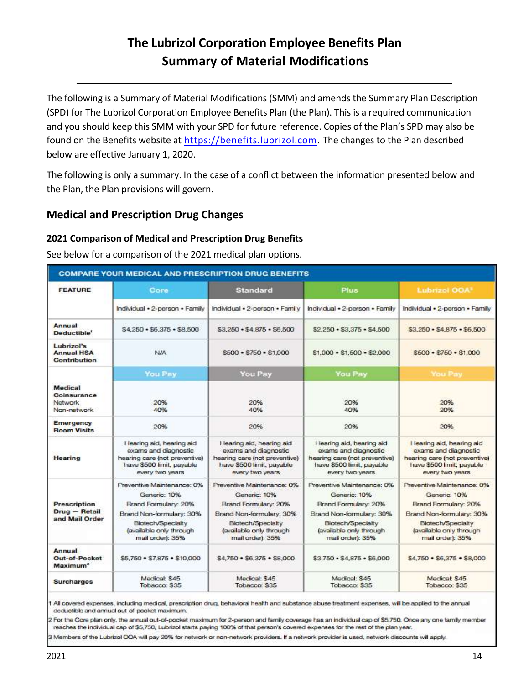# **The Lubrizol Corporation Employee Benefits Plan Summary of Material Modifications**

<span id="page-15-0"></span>The following is a Summary of Material Modifications (SMM) and amends the Summary Plan Description (SPD) for The Lubrizol Corporation Employee Benefits Plan (the Plan). This is a required communication and you should keep this SMM with your SPD for future reference. Copies of the Plan's SPD may also be found on the Benefits website at [https://benefits.lubrizol.com.](https://benefits.lubrizol.com/Benefits-Basics/Medical-and-Prescription-Summary-Plan-Descriptions) The changes to the Plan described below are effective January 1, 2020.

The following is only a summary. In the case of a conflict between the information presented below and the Plan, the Plan provisions will govern.

### <span id="page-15-1"></span>**Medical and Prescription Drug Changes**

#### <span id="page-15-2"></span>**2021 Comparison of Medical and Prescription Drug Benefits**

See below for a comparison of the 2021 medical plan options.

| <b>COMPARE YOUR MEDICAL AND PRESCRIPTION DRUG BENEFITS</b> |                                                                                                                                                                    |                                                                                                                                                                    |                                                                                                                                                                    |                                                                                                                                                                    |
|------------------------------------------------------------|--------------------------------------------------------------------------------------------------------------------------------------------------------------------|--------------------------------------------------------------------------------------------------------------------------------------------------------------------|--------------------------------------------------------------------------------------------------------------------------------------------------------------------|--------------------------------------------------------------------------------------------------------------------------------------------------------------------|
| <b>FEATURE</b>                                             | Core                                                                                                                                                               | <b>Standard</b>                                                                                                                                                    | <b>Plus</b>                                                                                                                                                        | Lubrizol OOA                                                                                                                                                       |
|                                                            | Individual . 2-person . Family                                                                                                                                     | Individual . 2-person . Family                                                                                                                                     | Individual . 2-person . Family                                                                                                                                     | Individual . 2-person . Family                                                                                                                                     |
| Annual<br>Deductible <sup>1</sup>                          | $$4,250 \cdot $6,375 \cdot $8,500$                                                                                                                                 | $$3,250 \cdot $4,875 \cdot $6,500$                                                                                                                                 | \$2,250 · \$3,375 · \$4,500                                                                                                                                        | $$3.250 \cdot $4.875 \cdot $6.500$                                                                                                                                 |
| Lubrizol's<br><b>Annual HSA</b><br><b>Contribution</b>     | <b>N/A</b>                                                                                                                                                         | $$500 \cdot $750 \cdot $1,000$                                                                                                                                     | $$1,000 - $1,500 - $2,000$                                                                                                                                         | $$500 \cdot $750 \cdot $1,000$                                                                                                                                     |
|                                                            | You Pay                                                                                                                                                            | <b>You Pay</b>                                                                                                                                                     | You Pay                                                                                                                                                            | You Pay                                                                                                                                                            |
| Medical<br>Coinsurance<br>Network<br>Non-network           | 20%<br>40%                                                                                                                                                         | 20%<br>40%                                                                                                                                                         | 20%<br>40%                                                                                                                                                         | 20%<br>20%                                                                                                                                                         |
| <b>Emergency</b><br><b>Room Visits</b>                     | 20%                                                                                                                                                                | 20%                                                                                                                                                                | 20%                                                                                                                                                                | 20%                                                                                                                                                                |
| Hearing                                                    | Hearing aid, hearing aid<br>exams and diagnostic<br>hearing care (not preventive)<br>have \$500 limit, payable<br>every two years                                  | Hearing aid, hearing aid<br>exams and diagnostic<br>hearing care (not preventive)<br>have \$500 limit, payable<br>every two years                                  | Hearing aid, hearing aid<br>exams and diagnostic<br>hearing care (not preventive)<br>have \$500 limit, payable<br>every two years                                  | Hearing aid, hearing aid<br>exams and diagnostic<br>hearing care (not preventive)<br>have \$500 limit, payable<br>every two years                                  |
| Prescription<br>Drug - Retail<br>and Mail Order            | Preventive Maintenance: 0%<br>Generic: 10%<br>Brand Formulary: 20%<br>Brand Non-formulary: 30%<br>Biotech/Specialty<br>(available only through<br>mail order): 35% | Preventive Maintenance: 0%<br>Generic: 10%<br>Brand Formulary: 20%<br>Brand Non-formulary: 30%<br>Biotech/Specialty<br>(available only through<br>mail order): 35% | Preventive Maintenance: 0%<br>Generic: 10%<br>Brand Formulary: 20%<br>Brand Non-formulary: 30%<br>Biotech/Specialty<br>(available only through<br>mail order): 35% | Preventive Maintenance: 0%<br>Generic: 10%<br>Brand Formulary: 20%<br>Brand Non-formulary: 30%<br>Biotech/Specialty<br>(available only through<br>mail order): 35% |
| Annual<br>Out-of-Pocket<br>Maximum <sup>2</sup>            | \$5,750 . \$7,875 . \$10,000                                                                                                                                       | \$4,750 · \$6,375 · \$8,000                                                                                                                                        | \$3,750 - \$4,875 - \$6,000                                                                                                                                        | \$4,750 · \$6,375 · \$8,000                                                                                                                                        |
| <b>Surcharges</b>                                          | Medical: \$45<br>Tobacco: \$35                                                                                                                                     | Medical: \$45<br>Tobacco: \$35                                                                                                                                     | Medical: \$45<br>Tobacco: \$35                                                                                                                                     | Medical: \$45<br>Tobacco: \$35                                                                                                                                     |

1 All covered expenses, including medical, prescription drug, behavioral health and substance abuse treatment expenses, will be applied to the annual decluctible and annual out-of-pocket maximum.

2 For the Core plan only, the annual out-of-pocket maximum for 2-person and family coverage has an individual cap of \$5,750. Once any one family member reaches the individual cap of \$5,750, Lubrizol starts paying 100% of that person's covered expenses for the rest of the plan year.

3 Members of the Lubrizol OOA will pay 20% for network or non-network providers. If a network provider is used, network discounts will apply.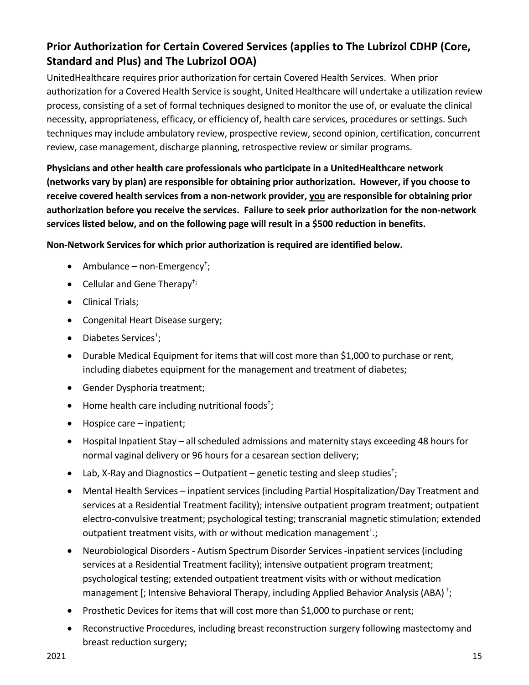## <span id="page-16-0"></span>**Prior Authorization for Certain Covered Services (applies to The Lubrizol CDHP (Core, Standard and Plus) and The Lubrizol OOA)**

UnitedHealthcare requires prior authorization for certain Covered Health Services. When prior authorization for a Covered Health Service is sought, United Healthcare will undertake a utilization review process, consisting of a set of formal techniques designed to monitor the use of, or evaluate the clinical necessity, appropriateness, efficacy, or efficiency of, health care services, procedures or settings. Such techniques may include ambulatory review, prospective review, second opinion, certification, concurrent review, case management, discharge planning, retrospective review or similar programs.

**Physicians and other health care professionals who participate in a UnitedHealthcare network (networks vary by plan) are responsible for obtaining prior authorization. However, if you choose to receive covered health services from a non-network provider, you are responsible for obtaining prior authorization before you receive the services. Failure to seek prior authorization for the non-network services listed below, and on the following page will result in a \$500 reduction in benefits.** 

**Non-Network Services for which prior authorization is required are identified below.** 

- Ambulance non-Emergency† ;
- Cellular and Gene Therapy<sup>†;</sup>
- Clinical Trials;
- Congenital Heart Disease surgery;
- Diabetes Services<sup>+</sup>;
- Durable Medical Equipment for items that will cost more than \$1,000 to purchase or rent, including diabetes equipment for the management and treatment of diabetes;
- Gender Dysphoria treatment;
- $\bullet$  Home health care including nutritional foods<sup>+</sup>;
- Hospice care inpatient;
- Hospital Inpatient Stay all scheduled admissions and maternity stays exceeding 48 hours for normal vaginal delivery or 96 hours for a cesarean section delivery;
- Lab, X-Ray and Diagnostics Outpatient genetic testing and sleep studies<sup>t</sup>;
- Mental Health Services inpatient services (including Partial Hospitalization/Day Treatment and services at a Residential Treatment facility); intensive outpatient program treatment; outpatient electro-convulsive treatment; psychological testing; transcranial magnetic stimulation; extended outpatient treatment visits, with or without medication management<sup>+</sup>.;
- Neurobiological Disorders Autism Spectrum Disorder Services -inpatient services (including services at a Residential Treatment facility); intensive outpatient program treatment; psychological testing; extended outpatient treatment visits with or without medication management [; Intensive Behavioral Therapy, including Applied Behavior Analysis (ABA)<sup>+</sup>;
- Prosthetic Devices for items that will cost more than \$1,000 to purchase or rent;
- Reconstructive Procedures, including breast reconstruction surgery following mastectomy and breast reduction surgery;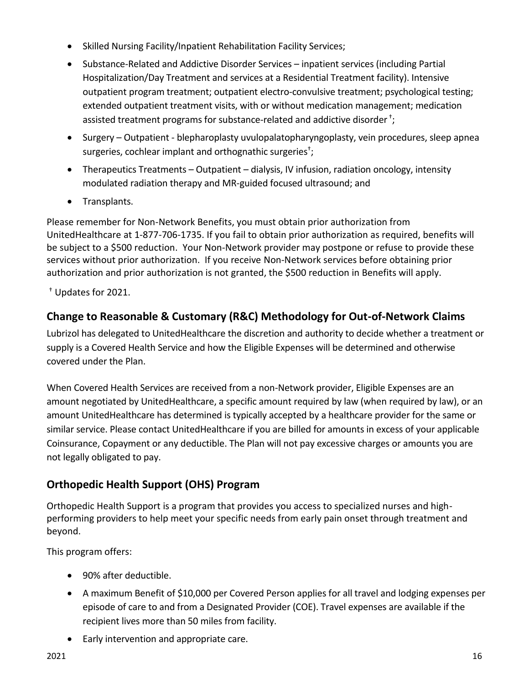- Skilled Nursing Facility/Inpatient Rehabilitation Facility Services;
- Substance-Related and Addictive Disorder Services inpatient services (including Partial Hospitalization/Day Treatment and services at a Residential Treatment facility). Intensive outpatient program treatment; outpatient electro-convulsive treatment; psychological testing; extended outpatient treatment visits, with or without medication management; medication assisted treatment programs for substance-related and addictive disorder<sup>+</sup>;
- Surgery Outpatient blepharoplasty uvulopalatopharyngoplasty, vein procedures, sleep apnea surgeries, cochlear implant and orthognathic surgeries<sup>†</sup>;
- Therapeutics Treatments Outpatient dialysis, IV infusion, radiation oncology, intensity modulated radiation therapy and MR-guided focused ultrasound; and
- Transplants.

Please remember for Non-Network Benefits, you must obtain prior authorization from UnitedHealthcare at 1-877-706-1735. If you fail to obtain prior authorization as required, benefits will be subject to a \$500 reduction. Your Non-Network provider may postpone or refuse to provide these services without prior authorization. If you receive Non-Network services before obtaining prior authorization and prior authorization is not granted, the \$500 reduction in Benefits will apply.

† Updates for 2021.

## <span id="page-17-0"></span>**Change to Reasonable & Customary (R&C) Methodology for Out-of-Network Claims**

Lubrizol has delegated to UnitedHealthcare the discretion and authority to decide whether a treatment or supply is a Covered Health Service and how the Eligible Expenses will be determined and otherwise covered under the Plan.

When Covered Health Services are received from a non-Network provider, Eligible Expenses are an amount negotiated by UnitedHealthcare, a specific amount required by law (when required by law), or an amount UnitedHealthcare has determined is typically accepted by a healthcare provider for the same or similar service. Please contact UnitedHealthcare if you are billed for amounts in excess of your applicable Coinsurance, Copayment or any deductible. The Plan will not pay excessive charges or amounts you are not legally obligated to pay.

## **Orthopedic Health Support (OHS) Program**

Orthopedic Health Support is a program that provides you access to specialized nurses and highperforming providers to help meet your specific needs from early pain onset through treatment and beyond.

This program offers:

- 90% after deductible.
- A maximum Benefit of \$10,000 per Covered Person applies for all travel and lodging expenses per episode of care to and from a Designated Provider (COE). Travel expenses are available if the recipient lives more than 50 miles from facility.
- Early intervention and appropriate care.